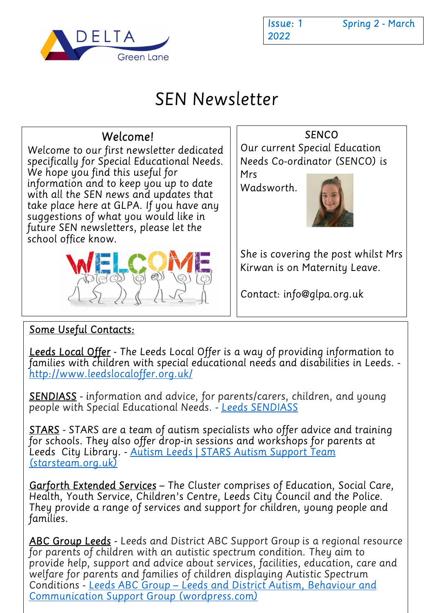

2022

Issue: 1 Spring 2 - March

# SEN Newsletter



#### Some Useful Contacts:

Leeds Local Offer - The Leeds Local Offer is a way of providing information to families with children with special educational needs and disabilities in Leeds. http://www.leedslocaloffer.org.uk/

SENDIASS - information and advice, for parents/carers, children, and young people with Special Educational Needs. - Leeds SENDIASS

STARS - STARS are a team of autism specialists who offer advice and training for schools. They also offer drop-in sessions and workshops for parents at Leeds City Library. - Autism Leeds | STARS Autism Support Team (starsteam.org.uk)

Garforth Extended Services - The Cluster comprises of Education, Social Care, Health, Youth Service, Children's Centre, Leeds City Council and the Police. They provide a range of services and support for children, young people and families.

ABC Group Leeds - Leeds and District ABC Support Group is a regional resource for parents of children with an autistic spectrum condition. They aim to provide help, support and advice about services, facilities, education, care and welfare for parents and families of children displaying Autistic Spectrum Conditions - Leeds ABC Group – Leeds and District Autism, Behaviour and Communication Support Group (wordpress.com)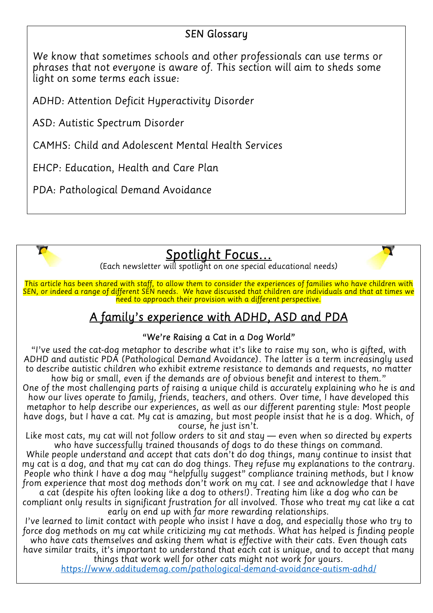#### SEN Glossary

We know that sometimes schools and other professionals can use terms or phrases that not everyone is aware of. This section will aim to sheds some light on some terms each issue:

ADHD: Attention Deficit Hyperactivity Disorder

ASD: Autistic Spectrum Disorder

CAMHS: Child and Adolescent Mental Health Services

EHCP: Education, Health and Care Plan

PDA: Pathological Demand Avoidance



 $\overline{\phantom{a}}$ 

## Spotlight Focus…

Y



This article has been shared with staff, to allow them to consider the experiences of families who have children with SEN, or indeed a range of different SEN needs. We have discussed that children are individuals and that at times we  $\frac{1}{n}$  heed to approach their provision with a different perspective.

## A family's experience with ADHD, ASD and PDA

#### "We're Raising a Cat in a Dog World"

 "I've used the cat-dog metaphor to describe what it's like to raise my son, who is gifted, with ADHD and autistic PDA (Pathological Demand Avoidance). The latter is a term increasingly used to describe autistic children who exhibit extreme resistance to demands and requests, no matter how big or small, even if the demands are of obvious benefit and interest to them."

One of the most challenging parts of raising a unique child is accurately explaining who he is and how our lives operate to family, friends, teachers, and others. Over time, I have developed this metaphor to help describe our experiences, as well as our different parenting style: Most people have dogs, but I have a cat. My cat is amazing, but most people insist that he is a dog. Which, of course, he just isn't.

Like most cats, my cat will not follow orders to sit and stay — even when so directed by experts who have successfully trained thousands of dogs to do these things on command.

While people understand and accept that cats don't do dog things, many continue to insist that my cat is a dog, and that my cat can do dog things. They refuse my explanations to the contrary. People who think I have a dog may "helpfully suggest" compliance training methods, but I know from experience that most dog methods don't work on my cat. I see and acknowledge that I have a cat (despite his often looking like a dog to others!). Treating him like a dog who can be

compliant only results in significant frustration for all involved. Those who treat my cat like a cat early on end up with far more rewarding relationships.

I've learned to limit contact with people who insist I have a dog, and especially those who try to force dog methods on my cat while criticizing my cat methods. What has helped is finding people who have cats themselves and asking them what is effective with their cats. Even though cats

have similar traits, it's important to understand that each cat is unique, and to accept that many things that work well for other cats might not work for yours.

https://www.additudemag.com/pathological-demand-avoidance-autism-adhd/